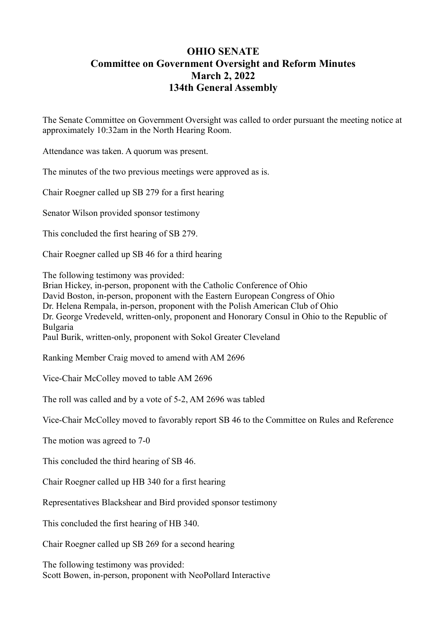## **OHIO SENATE Committee on Government Oversight and Reform Minutes March 2, 2022 134th General Assembly**

The Senate Committee on Government Oversight was called to order pursuant the meeting notice at approximately 10:32am in the North Hearing Room.

Attendance was taken. A quorum was present.

The minutes of the two previous meetings were approved as is.

Chair Roegner called up SB 279 for a first hearing

Senator Wilson provided sponsor testimony

This concluded the first hearing of SB 279.

Chair Roegner called up SB 46 for a third hearing

The following testimony was provided:

Brian Hickey, in-person, proponent with the Catholic Conference of Ohio David Boston, in-person, proponent with the Eastern European Congress of Ohio Dr. Helena Rempala, in-person, proponent with the Polish American Club of Ohio Dr. George Vredeveld, written-only, proponent and Honorary Consul in Ohio to the Republic of Bulgaria Paul Burik, written-only, proponent with Sokol Greater Cleveland

Ranking Member Craig moved to amend with AM 2696

Vice-Chair McColley moved to table AM 2696

The roll was called and by a vote of 5-2, AM 2696 was tabled

Vice-Chair McColley moved to favorably report SB 46 to the Committee on Rules and Reference

The motion was agreed to 7-0

This concluded the third hearing of SB 46.

Chair Roegner called up HB 340 for a first hearing

Representatives Blackshear and Bird provided sponsor testimony

This concluded the first hearing of HB 340.

Chair Roegner called up SB 269 for a second hearing

The following testimony was provided: Scott Bowen, in-person, proponent with NeoPollard Interactive